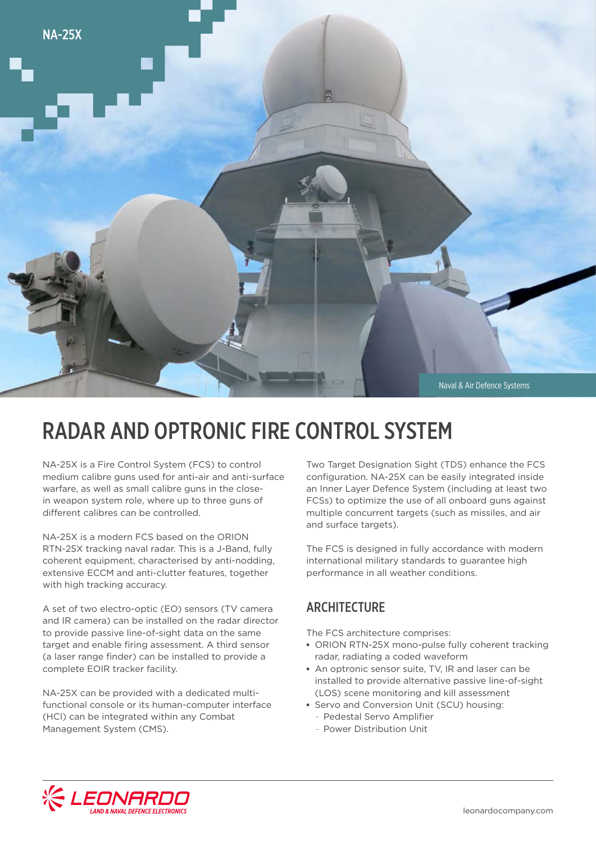

# RADAR AND OPTRONIC FIRE CONTROL SYSTEM

NA-25X is a Fire Control System (FCS) to control medium calibre guns used for anti-air and anti-surface warfare, as well as small calibre guns in the closein weapon system role, where up to three guns of different calibres can be controlled.

NA-25X is a modern FCS based on the ORION RTN-25X tracking naval radar. This is a J-Band, fully coherent equipment, characterised by anti-nodding, extensive ECCM and anti-clutter features, together with high tracking accuracy.

A set of two electro-optic (EO) sensors (TV camera and IR camera) can be installed on the radar director to provide passive line-of-sight data on the same target and enable firing assessment. A third sensor (a laser range finder) can be installed to provide a complete EOIR tracker facility.

NA-25X can be provided with a dedicated multifunctional console or its human-computer interface (HCI) can be integrated within any Combat Management System (CMS).

Two Target Designation Sight (TDS) enhance the FCS configuration. NA-25X can be easily integrated inside an Inner Layer Defence System (including at least two FCSs) to optimize the use of all onboard guns against multiple concurrent targets (such as missiles, and air and surface targets).

The FCS is designed in fully accordance with modern international military standards to guarantee high performance in all weather conditions.

### **ARCHITECTURE**

The FCS architecture comprises:

- **▪** ORION RTN-25X mono-pulse fully coherent tracking radar, radiating a coded waveform
- **▪** An optronic sensor suite, TV, IR and laser can be installed to provide alternative passive line-of-sight (LOS) scene monitoring and kill assessment
- **▪** Servo and Conversion Unit (SCU) housing:
	- Pedestal Servo Amplifier
	- Power Distribution Unit